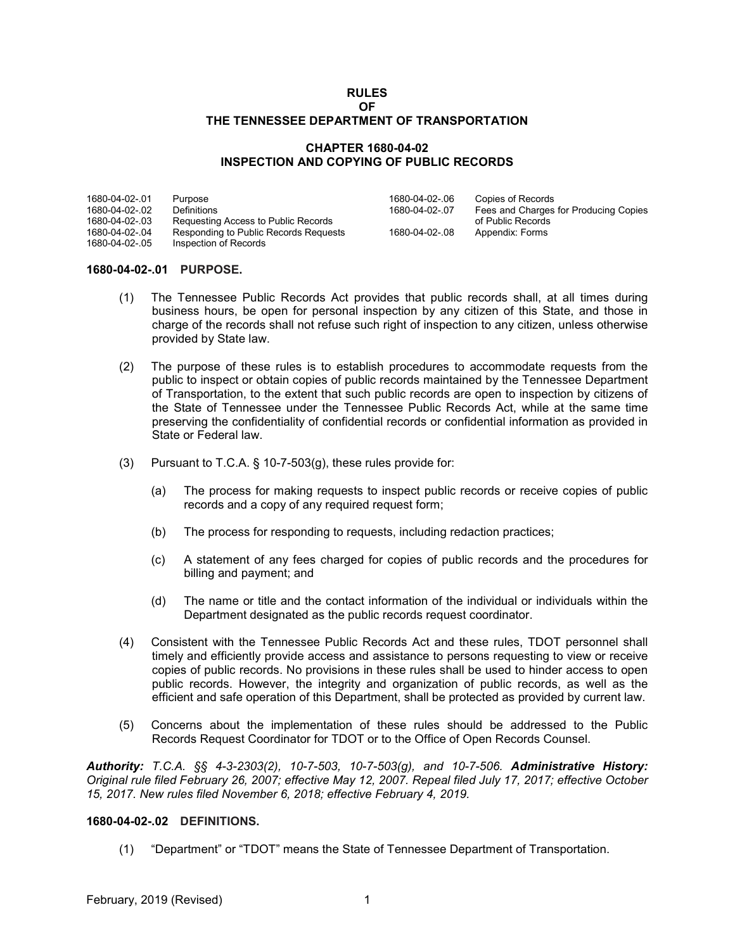#### **RULES OF THE TENNESSEE DEPARTMENT OF TRANSPORTATION**

# **CHAPTER 1680-04-02 INSPECTION AND COPYING OF PUBLIC RECORDS**

| 1680-04-02-.01 | Purpose                               | 1680-04-02-06  | Copies of Records                     |
|----------------|---------------------------------------|----------------|---------------------------------------|
| 1680-04-02-.02 | Definitions                           | 1680-04-02-.07 | Fees and Charges for Producing Copies |
| 1680-04-02-.03 | Requesting Access to Public Records   |                | of Public Records                     |
| 1680-04-02-.04 | Responding to Public Records Requests | 1680-04-02-.08 | Appendix: Forms                       |
| 1680-04-02-.05 | Inspection of Records                 |                |                                       |

#### **1680-04-02-.01 PURPOSE.**

- (1) The Tennessee Public Records Act provides that public records shall, at all times during business hours, be open for personal inspection by any citizen of this State, and those in charge of the records shall not refuse such right of inspection to any citizen, unless otherwise provided by State law.
- (2) The purpose of these rules is to establish procedures to accommodate requests from the public to inspect or obtain copies of public records maintained by the Tennessee Department of Transportation, to the extent that such public records are open to inspection by citizens of the State of Tennessee under the Tennessee Public Records Act, while at the same time preserving the confidentiality of confidential records or confidential information as provided in State or Federal law.
- (3) Pursuant to T.C.A. § 10-7-503(g), these rules provide for:
	- (a) The process for making requests to inspect public records or receive copies of public records and a copy of any required request form;
	- (b) The process for responding to requests, including redaction practices;
	- (c) A statement of any fees charged for copies of public records and the procedures for billing and payment; and
	- (d) The name or title and the contact information of the individual or individuals within the Department designated as the public records request coordinator.
- (4) Consistent with the Tennessee Public Records Act and these rules, TDOT personnel shall timely and efficiently provide access and assistance to persons requesting to view or receive copies of public records. No provisions in these rules shall be used to hinder access to open public records. However, the integrity and organization of public records, as well as the efficient and safe operation of this Department, shall be protected as provided by current law.
- (5) Concerns about the implementation of these rules should be addressed to the Public Records Request Coordinator for TDOT or to the Office of Open Records Counsel.

*Authority: T.C.A. §§ 4-3-2303(2), 10-7-503, 10-7-503(g), and 10-7-506. Administrative History: Original rule filed February 26, 2007; effective May 12, 2007. Repeal filed July 17, 2017; effective October 15, 2017. New rules filed November 6, 2018; effective February 4, 2019.*

# **1680-04-02-.02 DEFINITIONS.**

(1) "Department" or "TDOT" means the State of Tennessee Department of Transportation.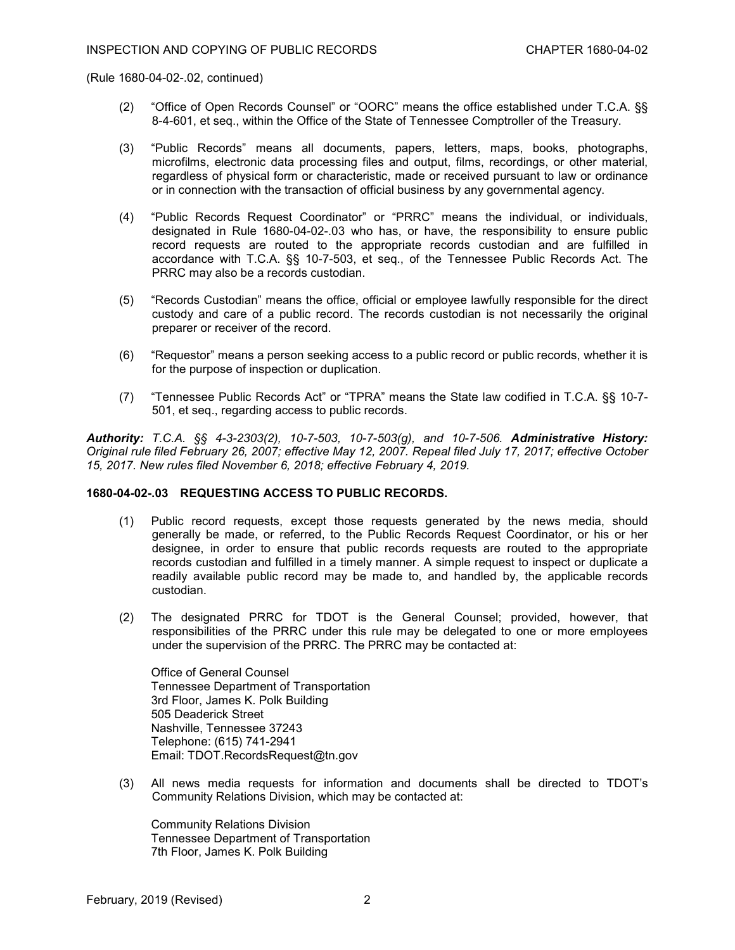(Rule 1680-04-02-.02, continued)

- (2) "Office of Open Records Counsel" or "OORC" means the office established under T.C.A. §§ 8-4-601, et seq., within the Office of the State of Tennessee Comptroller of the Treasury.
- (3) "Public Records" means all documents, papers, letters, maps, books, photographs, microfilms, electronic data processing files and output, films, recordings, or other material, regardless of physical form or characteristic, made or received pursuant to law or ordinance or in connection with the transaction of official business by any governmental agency.
- (4) "Public Records Request Coordinator" or "PRRC" means the individual, or individuals, designated in Rule 1680-04-02-.03 who has, or have, the responsibility to ensure public record requests are routed to the appropriate records custodian and are fulfilled in accordance with T.C.A. §§ 10-7-503, et seq., of the Tennessee Public Records Act. The PRRC may also be a records custodian.
- (5) "Records Custodian" means the office, official or employee lawfully responsible for the direct custody and care of a public record. The records custodian is not necessarily the original preparer or receiver of the record.
- (6) "Requestor" means a person seeking access to a public record or public records, whether it is for the purpose of inspection or duplication.
- (7) "Tennessee Public Records Act" or "TPRA" means the State law codified in T.C.A. §§ 10-7- 501, et seq., regarding access to public records.

*Authority: T.C.A. §§ 4-3-2303(2), 10-7-503, 10-7-503(g), and 10-7-506. Administrative History: Original rule filed February 26, 2007; effective May 12, 2007. Repeal filed July 17, 2017; effective October 15, 2017. New rules filed November 6, 2018; effective February 4, 2019.*

#### **1680-04-02-.03 REQUESTING ACCESS TO PUBLIC RECORDS.**

- (1) Public record requests, except those requests generated by the news media, should generally be made, or referred, to the Public Records Request Coordinator, or his or her designee, in order to ensure that public records requests are routed to the appropriate records custodian and fulfilled in a timely manner. A simple request to inspect or duplicate a readily available public record may be made to, and handled by, the applicable records custodian.
- (2) The designated PRRC for TDOT is the General Counsel; provided, however, that responsibilities of the PRRC under this rule may be delegated to one or more employees under the supervision of the PRRC. The PRRC may be contacted at:

Office of General Counsel Tennessee Department of Transportation 3rd Floor, James K. Polk Building 505 Deaderick Street Nashville, Tennessee 37243 Telephone: (615) 741-2941 Email: TDOT.RecordsRequest@tn.gov

(3) All news media requests for information and documents shall be directed to TDOT's Community Relations Division, which may be contacted at:

Community Relations Division Tennessee Department of Transportation 7th Floor, James K. Polk Building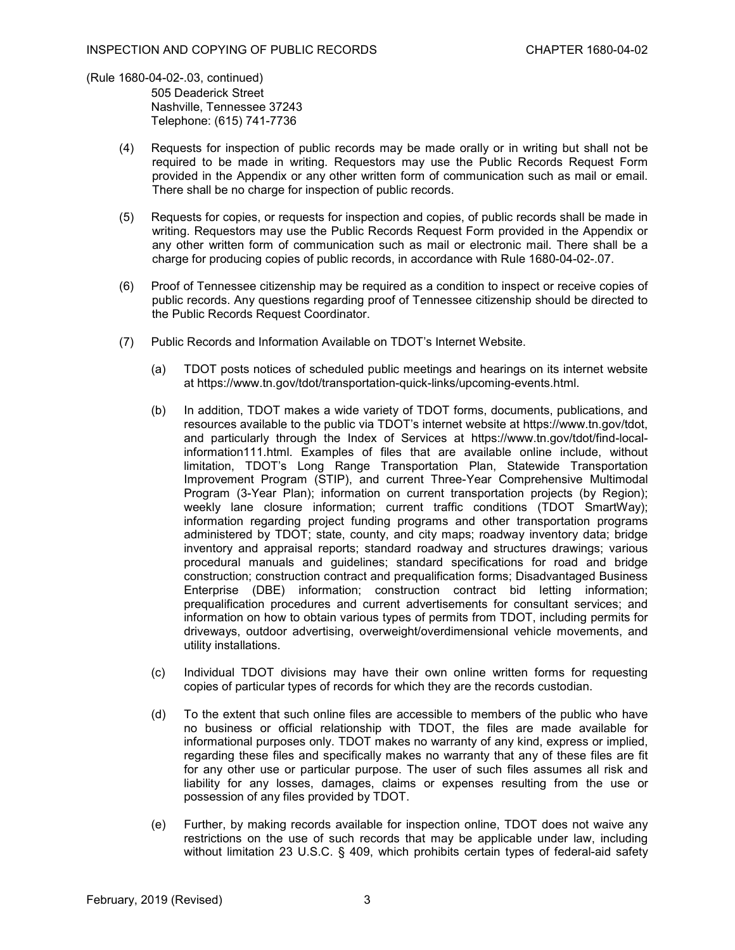(Rule 1680-04-02-.03, continued)

505 Deaderick Street Nashville, Tennessee 37243 Telephone: (615) 741-7736

- (4) Requests for inspection of public records may be made orally or in writing but shall not be required to be made in writing. Requestors may use the Public Records Request Form provided in the Appendix or any other written form of communication such as mail or email. There shall be no charge for inspection of public records.
- (5) Requests for copies, or requests for inspection and copies, of public records shall be made in writing. Requestors may use the Public Records Request Form provided in the Appendix or any other written form of communication such as mail or electronic mail. There shall be a charge for producing copies of public records, in accordance with Rule 1680-04-02-.07.
- (6) Proof of Tennessee citizenship may be required as a condition to inspect or receive copies of public records. Any questions regarding proof of Tennessee citizenship should be directed to the Public Records Request Coordinator.
- (7) Public Records and Information Available on TDOT's Internet Website.
	- (a) TDOT posts notices of scheduled public meetings and hearings on its internet website at [https://www.tn.gov/tdot/transportation-quick-links/upcoming-events.html.](https://www.tn.gov/tdot/transportation-quick-links/upcoming-events.html)
	- (b) In addition, TDOT makes a wide variety of TDOT forms, documents, publications, and resources available to the public via TDOT's internet website at [https://www.tn.gov/tdot,](https://www.tn.gov/tdot) and particularly through the Index of Services at [https://www.tn.gov/tdot/find-local](https://www.tn.gov/tdot/find-local-information111.html)[information111.html.](https://www.tn.gov/tdot/find-local-information111.html) Examples of files that are available online include, without limitation, TDOT's Long Range Transportation Plan, Statewide Transportation Improvement Program (STIP), and current Three-Year Comprehensive Multimodal Program (3-Year Plan); information on current transportation projects (by Region); weekly lane closure information; current traffic conditions (TDOT SmartWay); information regarding project funding programs and other transportation programs administered by TDOT; state, county, and city maps; roadway inventory data; bridge inventory and appraisal reports; standard roadway and structures drawings; various procedural manuals and guidelines; standard specifications for road and bridge construction; construction contract and prequalification forms; Disadvantaged Business Enterprise (DBE) information; construction contract bid letting information; prequalification procedures and current advertisements for consultant services; and information on how to obtain various types of permits from TDOT, including permits for driveways, outdoor advertising, overweight/overdimensional vehicle movements, and utility installations.
	- (c) Individual TDOT divisions may have their own online written forms for requesting copies of particular types of records for which they are the records custodian.
	- (d) To the extent that such online files are accessible to members of the public who have no business or official relationship with TDOT, the files are made available for informational purposes only. TDOT makes no warranty of any kind, express or implied, regarding these files and specifically makes no warranty that any of these files are fit for any other use or particular purpose. The user of such files assumes all risk and liability for any losses, damages, claims or expenses resulting from the use or possession of any files provided by TDOT.
	- (e) Further, by making records available for inspection online, TDOT does not waive any restrictions on the use of such records that may be applicable under law, including without limitation 23 U.S.C. § 409, which prohibits certain types of federal-aid safety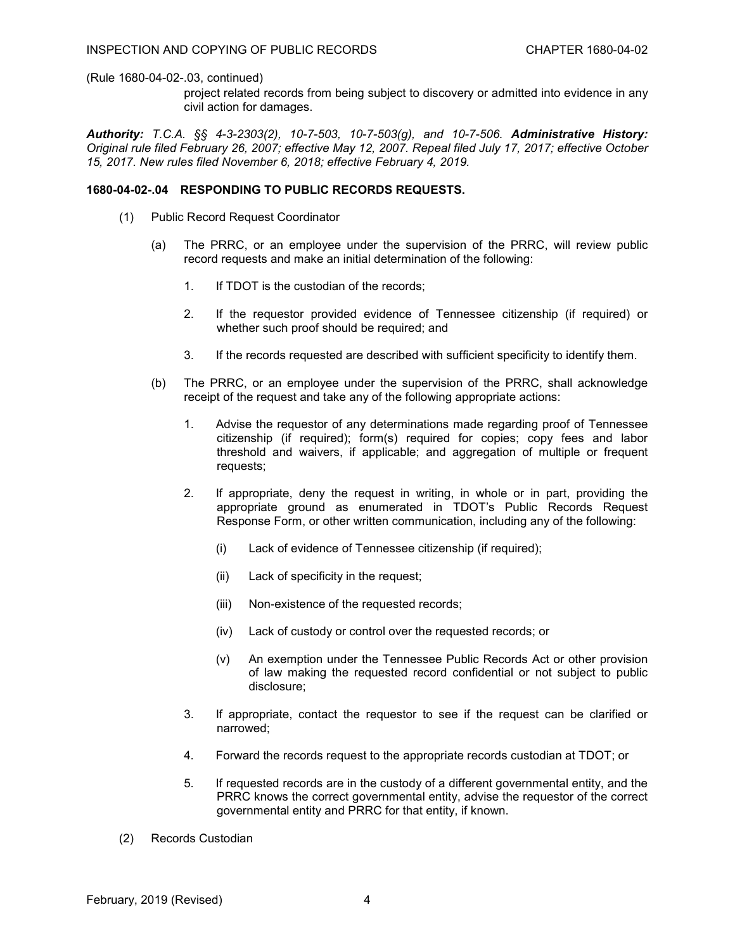# (Rule 1680-04-02-.03, continued)

project related records from being subject to discovery or admitted into evidence in any civil action for damages.

*Authority: T.C.A. §§ 4-3-2303(2), 10-7-503, 10-7-503(g), and 10-7-506. Administrative History: Original rule filed February 26, 2007; effective May 12, 2007. Repeal filed July 17, 2017; effective October 15, 2017. New rules filed November 6, 2018; effective February 4, 2019.*

# **1680-04-02-.04 RESPONDING TO PUBLIC RECORDS REQUESTS.**

- (1) Public Record Request Coordinator
	- (a) The PRRC, or an employee under the supervision of the PRRC, will review public record requests and make an initial determination of the following:
		- 1. If TDOT is the custodian of the records;
		- 2. If the requestor provided evidence of Tennessee citizenship (if required) or whether such proof should be required; and
		- 3. If the records requested are described with sufficient specificity to identify them.
	- (b) The PRRC, or an employee under the supervision of the PRRC, shall acknowledge receipt of the request and take any of the following appropriate actions:
		- 1. Advise the requestor of any determinations made regarding proof of Tennessee citizenship (if required); form(s) required for copies; copy fees and labor threshold and waivers, if applicable; and aggregation of multiple or frequent requests;
		- 2. If appropriate, deny the request in writing, in whole or in part, providing the appropriate ground as enumerated in TDOT's Public Records Request Response Form, or other written communication, including any of the following:
			- (i) Lack of evidence of Tennessee citizenship (if required);
			- (ii) Lack of specificity in the request;
			- (iii) Non-existence of the requested records;
			- (iv) Lack of custody or control over the requested records; or
			- (v) An exemption under the Tennessee Public Records Act or other provision of law making the requested record confidential or not subject to public disclosure;
		- 3. If appropriate, contact the requestor to see if the request can be clarified or narrowed;
		- 4. Forward the records request to the appropriate records custodian at TDOT; or
		- 5. If requested records are in the custody of a different governmental entity, and the PRRC knows the correct governmental entity, advise the requestor of the correct governmental entity and PRRC for that entity, if known.
- (2) Records Custodian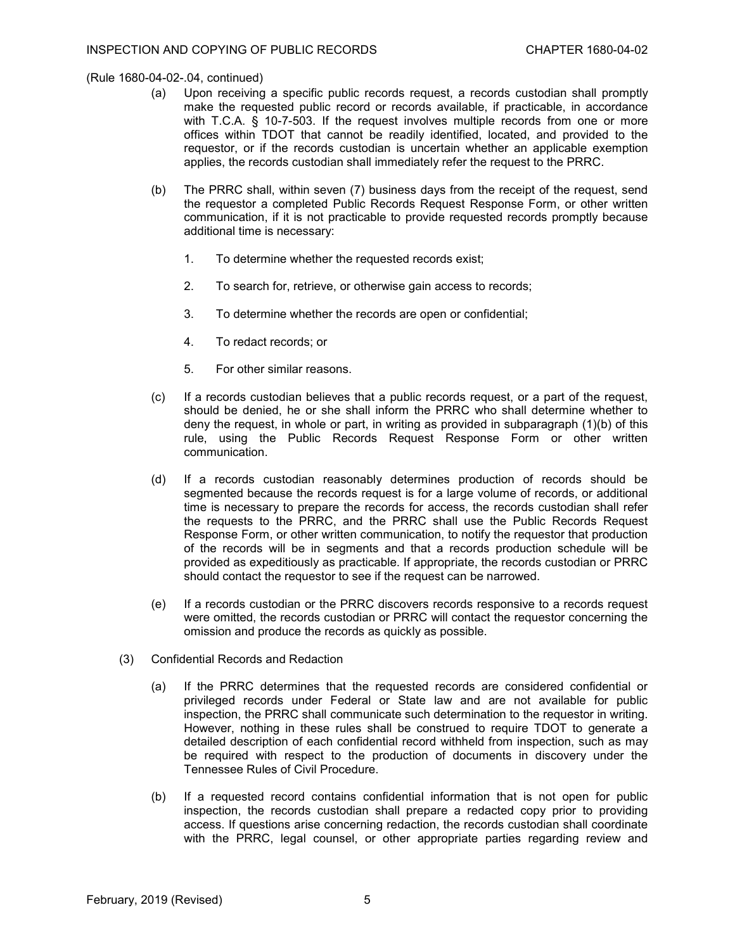(Rule 1680-04-02-.04, continued)

- (a) Upon receiving a specific public records request, a records custodian shall promptly make the requested public record or records available, if practicable, in accordance with T.C.A. § 10-7-503. If the request involves multiple records from one or more offices within TDOT that cannot be readily identified, located, and provided to the requestor, or if the records custodian is uncertain whether an applicable exemption applies, the records custodian shall immediately refer the request to the PRRC.
- (b) The PRRC shall, within seven (7) business days from the receipt of the request, send the requestor a completed Public Records Request Response Form, or other written communication, if it is not practicable to provide requested records promptly because additional time is necessary:
	- 1. To determine whether the requested records exist;
	- 2. To search for, retrieve, or otherwise gain access to records;
	- 3. To determine whether the records are open or confidential;
	- 4. To redact records; or
	- 5. For other similar reasons.
- (c) If a records custodian believes that a public records request, or a part of the request, should be denied, he or she shall inform the PRRC who shall determine whether to deny the request, in whole or part, in writing as provided in subparagraph (1)(b) of this rule, using the Public Records Request Response Form or other written communication.
- (d) If a records custodian reasonably determines production of records should be segmented because the records request is for a large volume of records, or additional time is necessary to prepare the records for access, the records custodian shall refer the requests to the PRRC, and the PRRC shall use the Public Records Request Response Form, or other written communication, to notify the requestor that production of the records will be in segments and that a records production schedule will be provided as expeditiously as practicable. If appropriate, the records custodian or PRRC should contact the requestor to see if the request can be narrowed.
- (e) If a records custodian or the PRRC discovers records responsive to a records request were omitted, the records custodian or PRRC will contact the requestor concerning the omission and produce the records as quickly as possible.
- (3) Confidential Records and Redaction
	- (a) If the PRRC determines that the requested records are considered confidential or privileged records under Federal or State law and are not available for public inspection, the PRRC shall communicate such determination to the requestor in writing. However, nothing in these rules shall be construed to require TDOT to generate a detailed description of each confidential record withheld from inspection, such as may be required with respect to the production of documents in discovery under the Tennessee Rules of Civil Procedure.
	- (b) If a requested record contains confidential information that is not open for public inspection, the records custodian shall prepare a redacted copy prior to providing access. If questions arise concerning redaction, the records custodian shall coordinate with the PRRC, legal counsel, or other appropriate parties regarding review and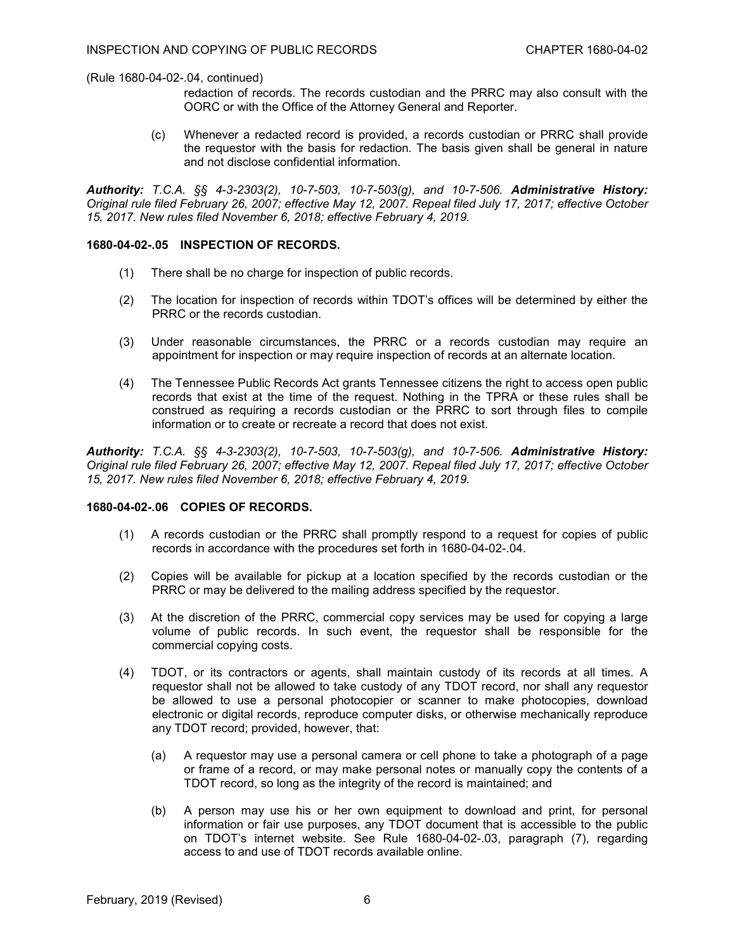(Rule 1680-04-02-.04, continued)

- redaction of records. The records custodian and the PRRC may also consult with the OORC or with the Office of the Attorney General and Reporter.
- (c) Whenever a redacted record is provided, a records custodian or PRRC shall provide the requestor with the basis for redaction. The basis given shall be general in nature and not disclose confidential information.

*Authority: T.C.A. §§ 4-3-2303(2), 10-7-503, 10-7-503(g), and 10-7-506. Administrative History: Original rule filed February 26, 2007; effective May 12, 2007. Repeal filed July 17, 2017; effective October 15, 2017. New rules filed November 6, 2018; effective February 4, 2019.*

# **1680-04-02-.05 INSPECTION OF RECORDS.**

- (1) There shall be no charge for inspection of public records.
- (2) The location for inspection of records within TDOT's offices will be determined by either the PRRC or the records custodian.
- (3) Under reasonable circumstances, the PRRC or a records custodian may require an appointment for inspection or may require inspection of records at an alternate location.
- (4) The Tennessee Public Records Act grants Tennessee citizens the right to access open public records that exist at the time of the request. Nothing in the TPRA or these rules shall be construed as requiring a records custodian or the PRRC to sort through files to compile information or to create or recreate a record that does not exist.

*Authority: T.C.A. §§ 4-3-2303(2), 10-7-503, 10-7-503(g), and 10-7-506. Administrative History: Original rule filed February 26, 2007; effective May 12, 2007. Repeal filed July 17, 2017; effective October 15, 2017. New rules filed November 6, 2018; effective February 4, 2019.*

# **1680-04-02-.06 COPIES OF RECORDS.**

- (1) A records custodian or the PRRC shall promptly respond to a request for copies of public records in accordance with the procedures set forth in 1680-04-02-.04.
- (2) Copies will be available for pickup at a location specified by the records custodian or the PRRC or may be delivered to the mailing address specified by the requestor.
- (3) At the discretion of the PRRC, commercial copy services may be used for copying a large volume of public records. In such event, the requestor shall be responsible for the commercial copying costs.
- (4) TDOT, or its contractors or agents, shall maintain custody of its records at all times. A requestor shall not be allowed to take custody of any TDOT record, nor shall any requestor be allowed to use a personal photocopier or scanner to make photocopies, download electronic or digital records, reproduce computer disks, or otherwise mechanically reproduce any TDOT record; provided, however, that:
	- (a) A requestor may use a personal camera or cell phone to take a photograph of a page or frame of a record, or may make personal notes or manually copy the contents of a TDOT record, so long as the integrity of the record is maintained; and
	- (b) A person may use his or her own equipment to download and print, for personal information or fair use purposes, any TDOT document that is accessible to the public on TDOT's internet website. See Rule 1680-04-02-.03, paragraph (7), regarding access to and use of TDOT records available online.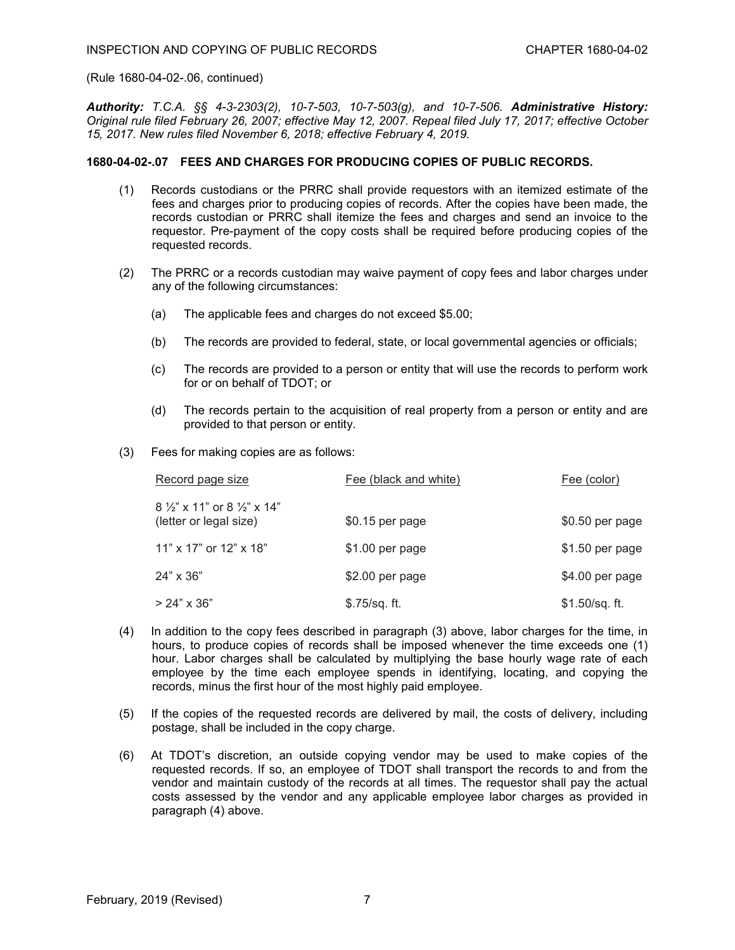(Rule 1680-04-02-.06, continued)

*Authority: T.C.A. §§ 4-3-2303(2), 10-7-503, 10-7-503(g), and 10-7-506. Administrative History: Original rule filed February 26, 2007; effective May 12, 2007. Repeal filed July 17, 2017; effective October 15, 2017. New rules filed November 6, 2018; effective February 4, 2019.*

### **1680-04-02-.07 FEES AND CHARGES FOR PRODUCING COPIES OF PUBLIC RECORDS.**

- (1) Records custodians or the PRRC shall provide requestors with an itemized estimate of the fees and charges prior to producing copies of records. After the copies have been made, the records custodian or PRRC shall itemize the fees and charges and send an invoice to the requestor. Pre-payment of the copy costs shall be required before producing copies of the requested records.
- (2) The PRRC or a records custodian may waive payment of copy fees and labor charges under any of the following circumstances:
	- (a) The applicable fees and charges do not exceed \$5.00;
	- (b) The records are provided to federal, state, or local governmental agencies or officials;
	- (c) The records are provided to a person or entity that will use the records to perform work for or on behalf of TDOT; or
	- (d) The records pertain to the acquisition of real property from a person or entity and are provided to that person or entity.
- (3) Fees for making copies are as follows:

| Record page size                                                         | Fee (black and white) | Fee (color)      |
|--------------------------------------------------------------------------|-----------------------|------------------|
| $8\frac{1}{2}$ x 11" or $8\frac{1}{2}$ " x 14"<br>(letter or legal size) | \$0.15 per page       | \$0.50 per page  |
| 11" x 17" or 12" x 18"                                                   | $$1.00$ per page      | $$1.50$ per page |
| 24" x 36"                                                                | $$2.00$ per page      | \$4.00 per page  |
| $> 24" \times 36"$                                                       | $$.75/sq.$ ft.        | $$1.50/sq.$ ft.  |

- (4) In addition to the copy fees described in paragraph (3) above, labor charges for the time, in hours, to produce copies of records shall be imposed whenever the time exceeds one (1) hour. Labor charges shall be calculated by multiplying the base hourly wage rate of each employee by the time each employee spends in identifying, locating, and copying the records, minus the first hour of the most highly paid employee.
- (5) If the copies of the requested records are delivered by mail, the costs of delivery, including postage, shall be included in the copy charge.
- (6) At TDOT's discretion, an outside copying vendor may be used to make copies of the requested records. If so, an employee of TDOT shall transport the records to and from the vendor and maintain custody of the records at all times. The requestor shall pay the actual costs assessed by the vendor and any applicable employee labor charges as provided in paragraph (4) above.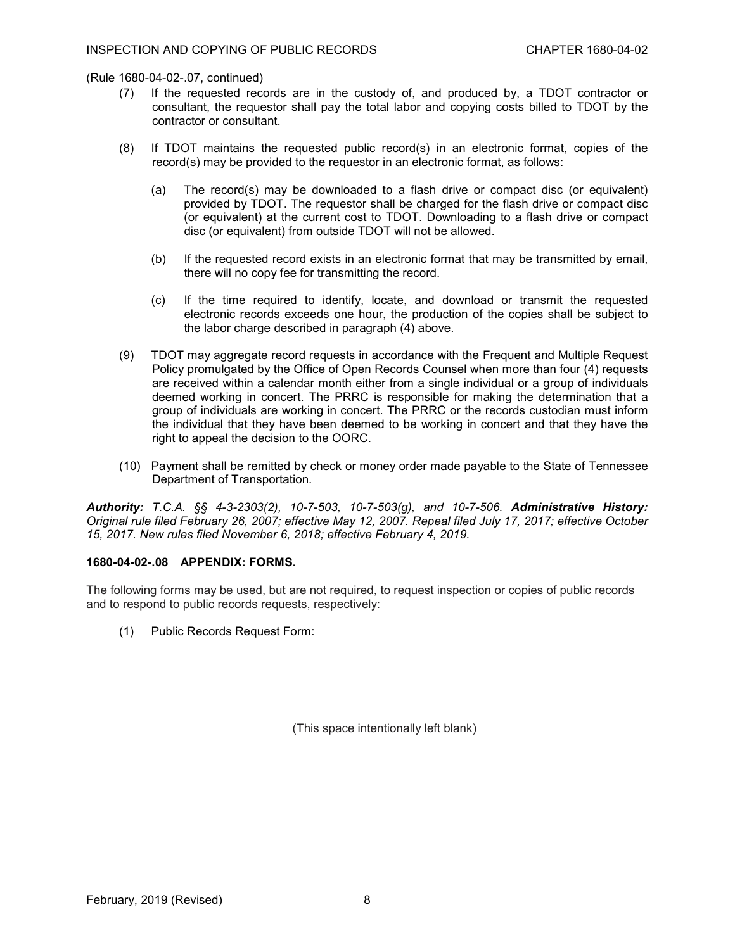(Rule 1680-04-02-.07, continued)

- (7) If the requested records are in the custody of, and produced by, a TDOT contractor or consultant, the requestor shall pay the total labor and copying costs billed to TDOT by the contractor or consultant.
- (8) If TDOT maintains the requested public record(s) in an electronic format, copies of the record(s) may be provided to the requestor in an electronic format, as follows:
	- (a) The record(s) may be downloaded to a flash drive or compact disc (or equivalent) provided by TDOT. The requestor shall be charged for the flash drive or compact disc (or equivalent) at the current cost to TDOT. Downloading to a flash drive or compact disc (or equivalent) from outside TDOT will not be allowed.
	- (b) If the requested record exists in an electronic format that may be transmitted by email, there will no copy fee for transmitting the record.
	- (c) If the time required to identify, locate, and download or transmit the requested electronic records exceeds one hour, the production of the copies shall be subject to the labor charge described in paragraph (4) above.
- (9) TDOT may aggregate record requests in accordance with the Frequent and Multiple Request Policy promulgated by the Office of Open Records Counsel when more than four (4) requests are received within a calendar month either from a single individual or a group of individuals deemed working in concert. The PRRC is responsible for making the determination that a group of individuals are working in concert. The PRRC or the records custodian must inform the individual that they have been deemed to be working in concert and that they have the right to appeal the decision to the OORC.
- (10) Payment shall be remitted by check or money order made payable to the State of Tennessee Department of Transportation.

*Authority: T.C.A. §§ 4-3-2303(2), 10-7-503, 10-7-503(g), and 10-7-506. Administrative History: Original rule filed February 26, 2007; effective May 12, 2007. Repeal filed July 17, 2017; effective October 15, 2017. New rules filed November 6, 2018; effective February 4, 2019.*

# **1680-04-02-.08 APPENDIX: FORMS.**

The following forms may be used, but are not required, to request inspection or copies of public records and to respond to public records requests, respectively:

(1) Public Records Request Form:

(This space intentionally left blank)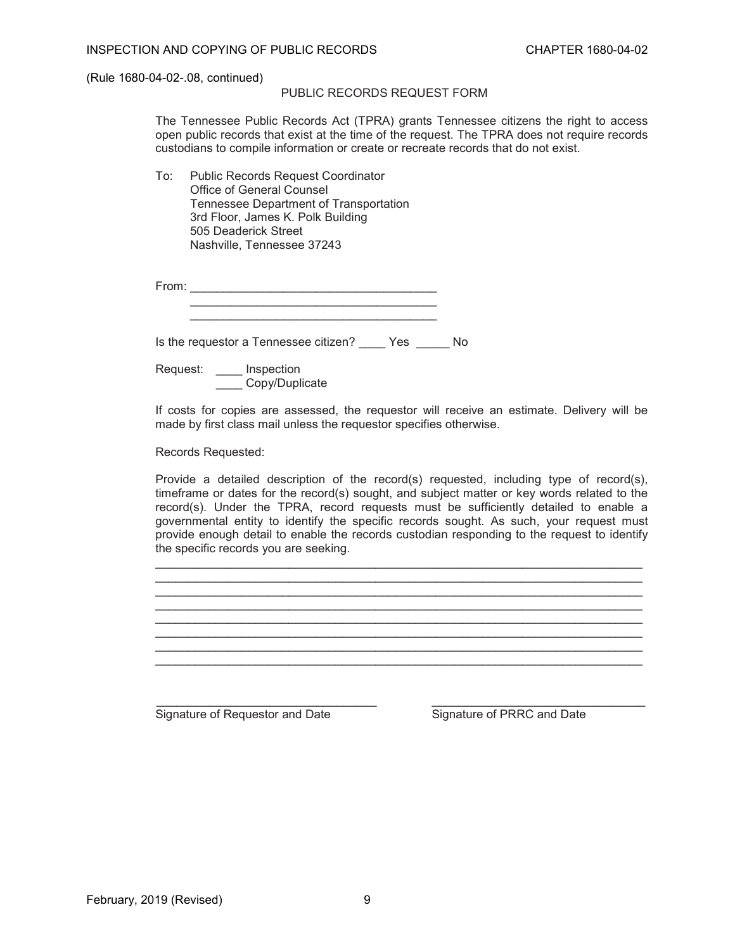(Rule 1680-04-02-.08, continued)

# PUBLIC RECORDS REQUEST FORM

The Tennessee Public Records Act (TPRA) grants Tennessee citizens the right to access open public records that exist at the time of the request. The TPRA does not require records custodians to compile information or create or recreate records that do not exist.

To: Public Records Request Coordinator Office of General Counsel Tennessee Department of Transportation 3rd Floor, James K. Polk Building 505 Deaderick Street Nashville, Tennessee 37243

| rom: |  |  |  |  |  |  |
|------|--|--|--|--|--|--|
|      |  |  |  |  |  |  |
|      |  |  |  |  |  |  |

Is the requestor a Tennessee citizen? \_\_\_\_ Yes \_\_\_\_\_ No

\_\_\_\_\_\_\_\_\_\_\_\_\_\_\_\_\_\_\_\_\_\_\_\_\_\_\_\_\_\_\_\_\_\_\_\_\_

Request: \_\_\_\_ Inspection Copy/Duplicate

If costs for copies are assessed, the requestor will receive an estimate. Delivery will be made by first class mail unless the requestor specifies otherwise.

Records Requested:

Provide a detailed description of the record(s) requested, including type of record(s), timeframe or dates for the record(s) sought, and subject matter or key words related to the record(s). Under the TPRA, record requests must be sufficiently detailed to enable a governmental entity to identify the specific records sought. As such, your request must provide enough detail to enable the records custodian responding to the request to identify the specific records you are seeking.

\_\_\_\_\_\_\_\_\_\_\_\_\_\_\_\_\_\_\_\_\_\_\_\_\_\_\_\_\_\_\_\_\_\_\_\_\_\_\_\_\_\_\_\_\_\_\_\_\_\_\_\_\_\_\_\_\_\_\_\_\_\_\_\_\_\_\_\_\_\_\_\_\_ \_\_\_\_\_\_\_\_\_\_\_\_\_\_\_\_\_\_\_\_\_\_\_\_\_\_\_\_\_\_\_\_\_\_\_\_\_\_\_\_\_\_\_\_\_\_\_\_\_\_\_\_\_\_\_\_\_\_\_\_\_\_\_\_\_\_\_\_\_\_\_\_\_ \_\_\_\_\_\_\_\_\_\_\_\_\_\_\_\_\_\_\_\_\_\_\_\_\_\_\_\_\_\_\_\_\_\_\_\_\_\_\_\_\_\_\_\_\_\_\_\_\_\_\_\_\_\_\_\_\_\_\_\_\_\_\_\_\_\_\_\_\_\_\_\_\_

\_\_\_\_\_\_\_\_\_\_\_\_\_\_\_\_\_\_\_\_\_\_\_\_\_\_\_\_\_\_\_\_\_\_\_\_\_\_\_\_\_\_\_\_\_\_\_\_\_\_\_\_\_\_\_\_\_\_\_\_\_\_\_\_\_\_\_\_\_\_\_\_\_ \_\_\_\_\_\_\_\_\_\_\_\_\_\_\_\_\_\_\_\_\_\_\_\_\_\_\_\_\_\_\_\_\_\_\_\_\_\_\_\_\_\_\_\_\_\_\_\_\_\_\_\_\_\_\_\_\_\_\_\_\_\_\_\_\_\_\_\_\_\_\_\_\_ \_\_\_\_\_\_\_\_\_\_\_\_\_\_\_\_\_\_\_\_\_\_\_\_\_\_\_\_\_\_\_\_\_\_\_\_\_\_\_\_\_\_\_\_\_\_\_\_\_\_\_\_\_\_\_\_\_\_\_\_\_\_\_\_\_\_\_\_\_\_\_\_\_ \_\_\_\_\_\_\_\_\_\_\_\_\_\_\_\_\_\_\_\_\_\_\_\_\_\_\_\_\_\_\_\_\_\_\_\_\_\_\_\_\_\_\_\_\_\_\_\_\_\_\_\_\_\_\_\_\_\_\_\_\_\_\_\_\_\_\_\_\_\_\_\_\_

Signature of Requestor and Date Signature of PRRC and Date

\_\_\_\_\_\_\_\_\_\_\_\_\_\_\_\_\_\_\_\_\_\_\_\_\_\_\_\_\_\_\_\_\_ \_\_\_\_\_\_\_\_\_\_\_\_\_\_\_\_\_\_\_\_\_\_\_\_\_\_\_\_\_\_\_\_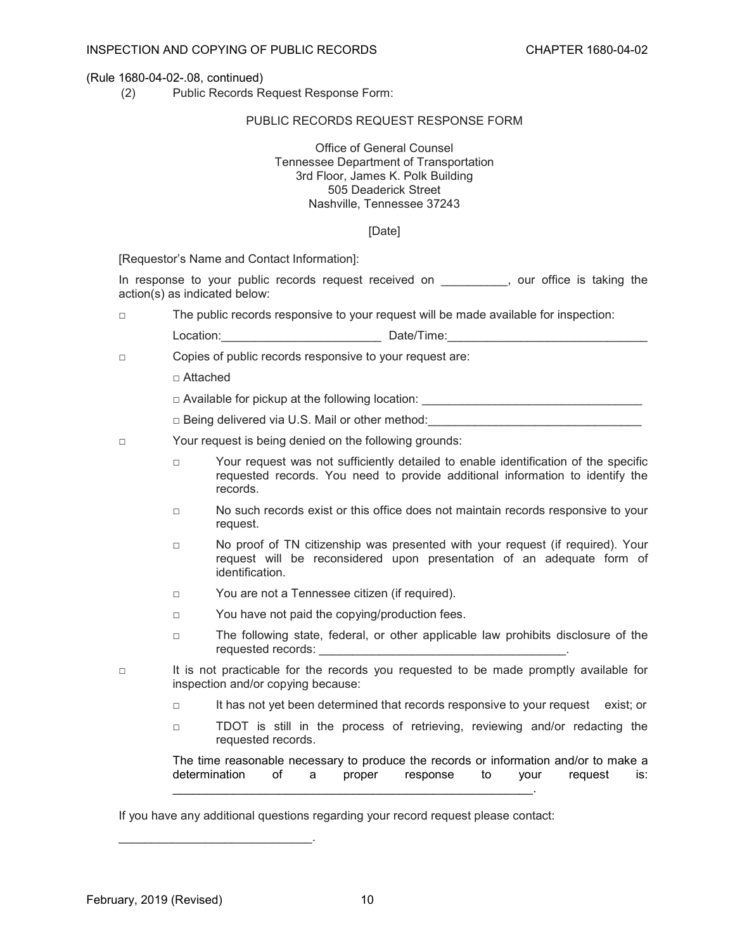#### (Rule 1680-04-02-.08, continued)

(2) Public Records Request Response Form:

#### PUBLIC RECORDS REQUEST RESPONSE FORM

### Office of General Counsel Tennessee Department of Transportation 3rd Floor, James K. Polk Building 505 Deaderick Street Nashville, Tennessee 37243

#### [Date]

[Requestor's Name and Contact Information]:

In response to your public records request received on \_\_\_\_\_\_\_\_\_, our office is taking the action(s) as indicated below:

□ The public records responsive to your request will be made available for inspection:

Location:\_\_\_\_\_\_\_\_\_\_\_\_\_\_\_\_\_\_\_\_\_\_\_\_ Date/Time:\_\_\_\_\_\_\_\_\_\_\_\_\_\_\_\_\_\_\_\_\_\_\_\_\_\_\_\_\_\_

- □ Copies of public records responsive to your request are:
	- □ Attached
	- $\Box$  Available for pickup at the following location:  $\Box$

□ Being delivered via U.S. Mail or other method:

- □ Your request is being denied on the following grounds:
	- □ Your request was not sufficiently detailed to enable identification of the specific requested records. You need to provide additional information to identify the records.
	- □ No such records exist or this office does not maintain records responsive to your request.
	- □ No proof of TN citizenship was presented with your request (if required). Your request will be reconsidered upon presentation of an adequate form of identification.
	- □ You are not a Tennessee citizen (if required).
	- □ You have not paid the copying/production fees.
	- □ The following state, federal, or other applicable law prohibits disclosure of the requested records:
- □ It is not practicable for the records you requested to be made promptly available for inspection and/or copying because:
	- □ It has not yet been determined that records responsive to your request exist; or
	- □ TDOT is still in the process of retrieving, reviewing and/or redacting the requested records.

The time reasonable necessary to produce the records or information and/or to make a determination of a proper response to your request is:

If you have any additional questions regarding your record request please contact:

\_\_\_\_\_\_\_\_\_\_\_\_\_\_\_\_\_\_\_\_\_\_\_\_\_\_\_\_\_\_\_\_\_\_\_\_\_\_\_\_\_\_\_\_\_\_\_\_\_\_\_\_\_\_.

\_\_\_\_\_\_\_\_\_\_\_\_\_\_\_\_\_\_\_\_\_\_\_\_\_\_\_\_\_.